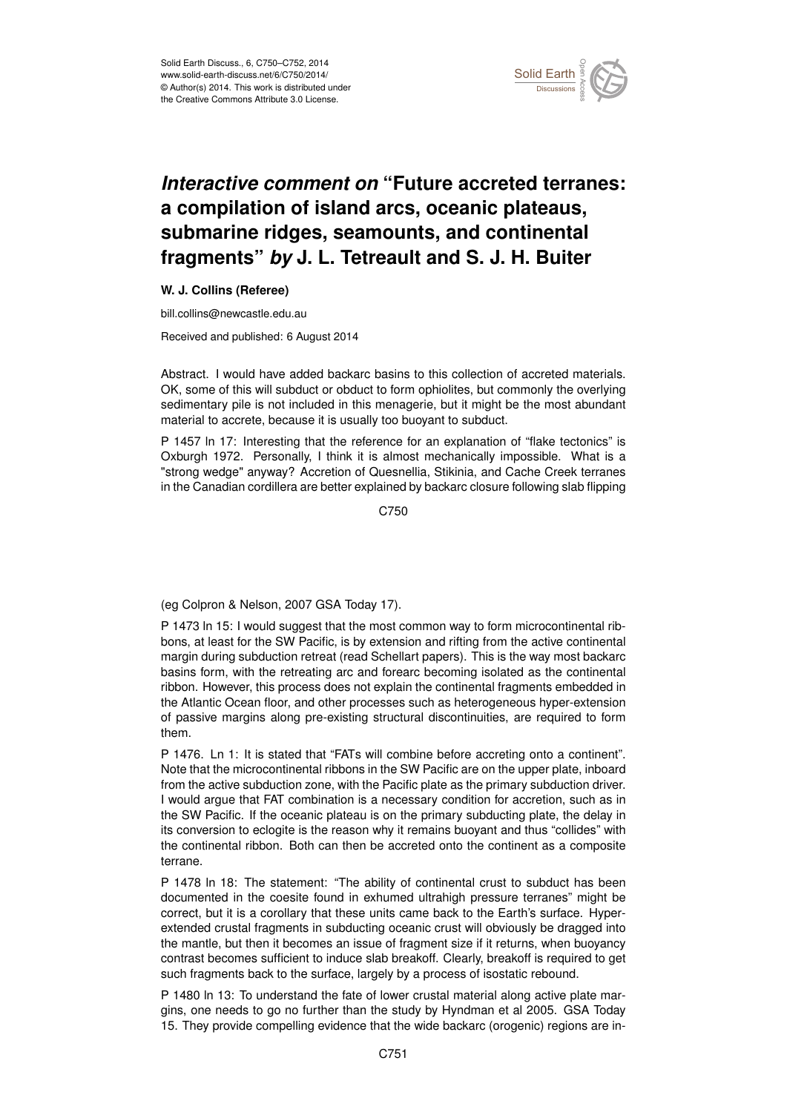

## *Interactive comment on* **"Future accreted terranes: a compilation of island arcs, oceanic plateaus, submarine ridges, seamounts, and continental fragments"** *by* **J. L. Tetreault and S. J. H. Buiter**

## **W. J. Collins (Referee)**

bill.collins@newcastle.edu.au

Received and published: 6 August 2014

Abstract. I would have added backarc basins to this collection of accreted materials. OK, some of this will subduct or obduct to form ophiolites, but commonly the overlying sedimentary pile is not included in this menagerie, but it might be the most abundant material to accrete, because it is usually too buoyant to subduct.

P 1457 In 17: Interesting that the reference for an explanation of "flake tectonics" is Oxburgh 1972. Personally, I think it is almost mechanically impossible. What is a "strong wedge" anyway? Accretion of Quesnellia, Stikinia, and Cache Creek terranes in the Canadian cordillera are better explained by backarc closure following slab flipping

C750

(eg Colpron & Nelson, 2007 GSA Today 17).

P 1473 ln 15: I would suggest that the most common way to form microcontinental ribbons, at least for the SW Pacific, is by extension and rifting from the active continental margin during subduction retreat (read Schellart papers). This is the way most backarc basins form, with the retreating arc and forearc becoming isolated as the continental ribbon. However, this process does not explain the continental fragments embedded in the Atlantic Ocean floor, and other processes such as heterogeneous hyper-extension of passive margins along pre-existing structural discontinuities, are required to form them.

P 1476. Ln 1: It is stated that "FATs will combine before accreting onto a continent". Note that the microcontinental ribbons in the SW Pacific are on the upper plate, inboard from the active subduction zone, with the Pacific plate as the primary subduction driver. I would argue that FAT combination is a necessary condition for accretion, such as in the SW Pacific. If the oceanic plateau is on the primary subducting plate, the delay in its conversion to eclogite is the reason why it remains buoyant and thus "collides" with the continental ribbon. Both can then be accreted onto the continent as a composite terrane.

P 1478 ln 18: The statement: "The ability of continental crust to subduct has been documented in the coesite found in exhumed ultrahigh pressure terranes" might be correct, but it is a corollary that these units came back to the Earth's surface. Hyperextended crustal fragments in subducting oceanic crust will obviously be dragged into the mantle, but then it becomes an issue of fragment size if it returns, when buoyancy contrast becomes sufficient to induce slab breakoff. Clearly, breakoff is required to get such fragments back to the surface, largely by a process of isostatic rebound.

P 1480 ln 13: To understand the fate of lower crustal material along active plate margins, one needs to go no further than the study by Hyndman et al 2005. GSA Today 15. They provide compelling evidence that the wide backarc (orogenic) regions are in